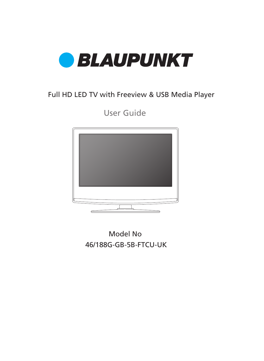

### Full HD LED TV with Freeview & USB Media Player

User Guide



46/188G-GB-5B-FTCU-UK Model No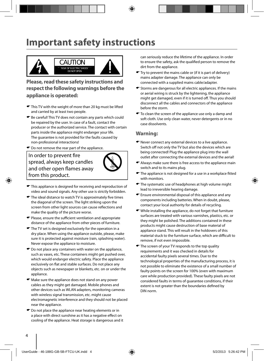### **Important safety instructions**



**Please, read these safety instructions and respect the following warnings before the appliance is operated:**

- $\bullet$  This TV with the weight of more than 20 kg must be lifted and carried by at least two people.
- Be careful! This TV does not contain any parts which could be repaired by the user. In case of a fault, contact the producer or the authorized service. The contact with certain parts inside the appliance might endanger your life. The guarantee is not provided for the faults caused by non-professional interactions!
- $\bullet$  Do not remove the rear part of the appliance.

In order to prevent fire spread, always keep candles and other open flames away from this product.



- $\blacktriangleright$  This appliance is designed for receiving and reproduction of video and sound signals. Any other use is strictly forbidden.
- $\blacktriangleright$  The ideal distance to watch TV is approximately five times the diagonal of the screen. The light striking upon the screen from other light sources can cause reflections and make the quality of the picture worse.
- $\bullet$  Please, ensure the sufficient ventilation and appropriate distance of the appliance from other pieces of furniture.
- $\blacktriangleright$  The TV set is designed exclusively for the operation in a dry place. When using the appliance outside, please, make sure it is protected against moisture (rain, splashing water). Never expose the appliance to moisture.
- $\bullet$  Do not place any containers with water on the appliance, such as vases, etc. These containers might get pushed over, which would endanger electric safety. Place the appliance exclusively on flat and stable surfaces. Do not place any objects such as newspaper or blankets, etc. on or under the appliance.
- Make sure the appliance does not stand on any power cables as they might get damaged. Mobile phones and other devices such as WLAN adapters, monitoring cameras with wireless signal transmission, etc. might cause electromagnetic interference and they should not be placed near the appliance.
- Do not place the appliance near heating elements or in a place with direct sunshine as it has a negative effect on cooling of the appliance. Heat storage is dangerous and it

can seriously reduce the lifetime of the appliance. In order to ensure the safety, ask the qualified person to remove the dirt from the appliance.

- Try to prevent the mains cable or (if it is part of delivery) mains adapter damage. The appliance can only be connected with a supplied mains cable/adapter.
- $\blacktriangleright$  Storms are dangerous for all electric appliances. If the mains or aerial wiring is struck by the lightening, the appliance might get damaged, even if it is turned off. Thus you should disconnect all the cables and connectors of the appliance before the storm.
- $\bullet$  To clean the screen of the appliance use only a damp and soft cloth. Use only clean water, never detergents or in no case dissolvents.

#### **Warning:**

- Never connect any external devices to a live appliance. Switch off not only the TV but also the devices which are being connected! Plug the appliance plug into the wall outlet after connecting the external devices and the aerial!
- Always make sure there is free access to the appliance main switch and to its mains plug.
- $\blacktriangleright$  The appliance is not designed for a use in a workplace fitted with monitors.
- $\blacktriangleright$  The systematic use of headphones at high volume might lead to irreversible hearing damage.
- Ensure environmental disposal of this appliance and any components including batteries. When in doubt, please, contact your local authority for details of recycling.
- While installing the appliance, do not forget that furniture surfaces are treated with various varnishes, plastics, etc. or they might be polished. The additions contained in these products might cause destruction of base material of appliance stand. This will result in the holdovers of this material stuck to the furniture surface, which are difficult to remove, if not even impossible.
- The screen of your TV responds to the top quality requirements and it was checked in details for accidental faulty pixels several times. Due to the technological properties of the manufacturing process, it is not possible to eliminate the existence of a small number of faulty points on the screen for 100% (even with maximum care while production provided). These faulty pixels are not considered faults in terms of guarantee conditions, if their extent is not greater than the boundaries defined by DIN norm.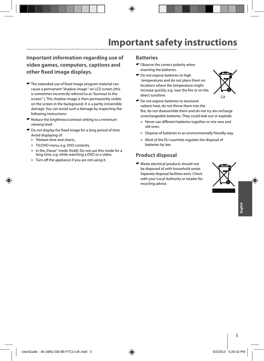### **Important information regarding use of video games, computers, captions and other fi xed image displays.**

- $\bullet$  The extended use of fixed image program material can cause a permanent "shadow image " on LCD screen (this is sometimes incorrectly referred to as "burnout to the screen" ). This shadow image is then permanently visible on the screen in the background. It is a partly irreversible damage. You can avoid such a damage by respecting the following instructions:
- $\bullet$  Reduce the brightness/contrast setting to a minimum viewing level.
- $\bullet$  Do not display the fixed image for a long period of time. Avoid displaying of:
	- » Teletext time and charts,
	- » TV/DVD menu, e.g. DVD contents,
	- » In the "Pause" mode (hold): Do not use this mode for a long time, e.g. while watching a DVD or a video.
	- » Turn off the appliance if you are not using it.

#### **Batteries**

- Observe the correct polarity when inserting the batteries.
- $\bullet$  Do not expose batteries to high temperatures and do not place them on locations where the temperature might increase quickly, e.g. near the fire or on the direct sunshine.



- $\bullet$  Do not expose batteries to excessive radiant heat, do not throw them into the fire, do not disassemble them and do not try ato recharge unrechargeable batteries. They could leak out or explode.
	- » Never use different batteries together or mix new and old ones.
	- » Dispose of batteries in an environmentally friendly way.
	- » Most of the EU countries regulate the disposal of batteries by law.

#### **Product disposal**

Waste electrical products should not be disposed of with household waste. Separate disposal facilities exist. Check with your Local Authority or retailer for recycling advice.

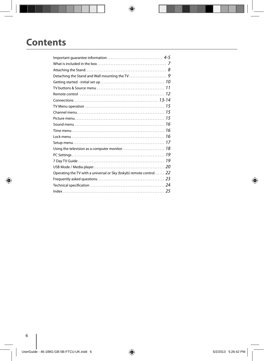# **Contents**

| TV buttons & Source menu $\ldots \ldots \ldots \ldots \ldots \ldots \ldots \ldots \ldots \ldots \ldots 11$ |  |
|------------------------------------------------------------------------------------------------------------|--|
|                                                                                                            |  |
|                                                                                                            |  |
|                                                                                                            |  |
|                                                                                                            |  |
|                                                                                                            |  |
|                                                                                                            |  |
|                                                                                                            |  |
|                                                                                                            |  |
|                                                                                                            |  |
|                                                                                                            |  |
|                                                                                                            |  |
|                                                                                                            |  |
|                                                                                                            |  |
| Operating the TV with a universal or Sky (bskyb) remote control $22$                                       |  |
|                                                                                                            |  |
|                                                                                                            |  |
|                                                                                                            |  |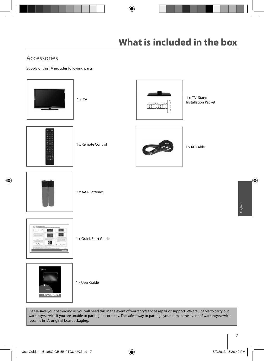### Accessories

Supply of this TV includes following parts:



Please save your packaging as you will need this in the event of warranty/service repair or support. We are unable to carry out warranty/service if you are unable to package it correctly. The safest way to package your item in the event of warranty/service repair is in it's original box/packaging.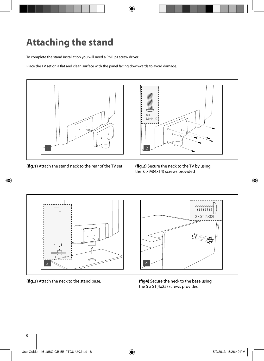# **Attaching the stand**

To complete the stand installation you will need a Phillips screw driver.

Place the TV set on a flat and clean surface with the panel facing downwards to avoid damage.



**(fig.1)** Attach the stand neck to the rear of the TV set. **(fig.2)** Secure the neck to the TV by using



the 6 x M(4x14) screws provided



**(fig.3)** Attach the neck to the stand base. **(fig4)** Secure the neck to the base using

the 5 x ST(4x25) screws provided.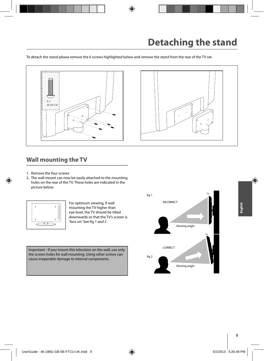To detach the stand please remove the 6 screws highlighted below and remove the stand from the rear of the TV set.



### **Wall mounting the TV**

- 1. Remove the four screws
- 2. The wall mount can now be easily attached to the mounting holes on the rear of the TV. These holes are indicated in the picture below.



For optimum viewing, if wall mounting the TV higher than eye level, the TV should be tilted downwards so that the TV's screen is 'face on'. See fig 1 and 2

Important - If you mount this television on the wall, use only the screws holes for wall mounting. Using other screws can cause irreparable damage to internal components.

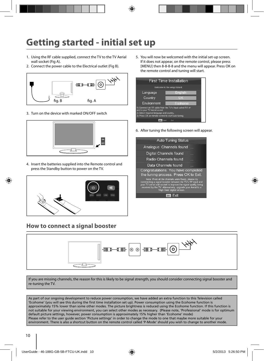# **Getting started - initial set up**

- 1. Using the RF cable supplied, connect the TV to the TV Aerial wall socket (Fig A).
- 2. Connect the power cable to the Electrical outlet (Fig B).



3. Turn on the device with marked ON/OFF switch



4. Insert the batteries supplied into the Remote control and press the Standby button to power on the TV.



### **How to connect a signal booster**

5. You will now be welcomed with the initial set-up screen. If it does not appear, on the remote control, please press [MENU] then 8-8-8-8 and the menu will appear. Press OK on the remote control and tuning will start.



6. After tuning the following screen will appear.

| <b>Auto Tuning Status</b>                                                                                                                                                                                                                                                           |
|-------------------------------------------------------------------------------------------------------------------------------------------------------------------------------------------------------------------------------------------------------------------------------------|
| Analogue Channels found                                                                                                                                                                                                                                                             |
| Digital Channels found                                                                                                                                                                                                                                                              |
| Radio Channels found<br>                                                                                                                                                                                                                                                            |
| Data Channels found<br>$\cdots$                                                                                                                                                                                                                                                     |
| Congratulations. You have completed<br>the tuning process. Press OK to Exit.                                                                                                                                                                                                        |
| Note: If not all the channels were found, please try<br>connnecting a signal booster between the TV's RF input and<br>your TV aerial wall socket to improve the signal quality being<br>received by the TV. Alternatively, upgrade your Aerial to a<br>'High Gain' digital version. |
|                                                                                                                                                                                                                                                                                     |



If you are missing channels, the reason for this is likely to be signal strength, you should consider connecting signal booster and re-tuning the TV.

As part of our ongoing development to reduce power consumption, we have added an extra function to this Television called 'Ecohome' (you will see this during the fi rst time installation set up). Power consumption using the Ecohome function is approximately 15% lower than some other modes. The picture brightness is reduced using the Ecohome function. If this function is not suitable for your viewing environment, you can select other modes as necessary. (Please note, 'Professional' mode is for optimum default picture settings, however, power consumption is approximately 15% higher than 'Ecohome' mode) Please refer to the user guide section 'Picture settings' in order to change the mode to one that maybe more suitable for your environment. There is also a shortcut button on the remote control called 'P-Mode' should you wish to change to another mode.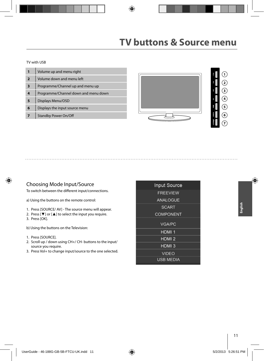#### TV with USB

|                | Volume up and menu right             |
|----------------|--------------------------------------|
| $\overline{2}$ | Volume down and menu left            |
| 3              | Programme/Channel up and menu up     |
| 4              | Programme/Channel down and menu down |
| 5              | Displays Menu/OSD                    |
| 6              | Displays the input source menu       |
|                | <b>Standby Power On/Off</b>          |



# **1 6 7**

#### Choosing Mode Input/Source

To switch between the different input/connections.

a) Using the buttons on the remote control:

- 1. Press [SOURCE/ AV] The source menu will appear.
- 2. Press [▼] or [▲] to select the input you require.
- 3. Press [OK].

b) Using the buttons on the Television:

- 1. Press [SOURCE].
- 2. Scroll up / down using CH+/ CH- buttons to the input/ source you require.
- 3. Press Vol+ to change input/source to the one selected.

| <b>Input Source</b> |  |
|---------------------|--|
| <b>FREEVIEW</b>     |  |
| <b>ANALOGUE</b>     |  |
| <b>SCART</b>        |  |
| <b>COMPONENT</b>    |  |
| <b>VGA/PC</b>       |  |
| HDMI <sub>1</sub>   |  |
| HDMI <sub>2</sub>   |  |
| HDMI <sub>3</sub>   |  |
| <b>VIDEO</b>        |  |
| <b>USB MEDIA</b>    |  |
|                     |  |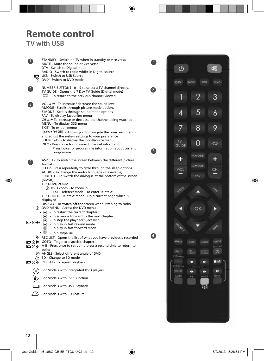# **Remote control**

### **TV with USB**

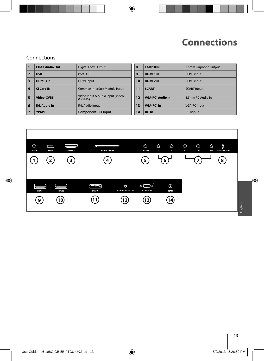### Connections

|                         | <b>COAX Audio Out</b> | <b>Digital Coax Output</b>                   | 8  | <b>EARPHONE</b>         | 3.5mm Earphone Output |
|-------------------------|-----------------------|----------------------------------------------|----|-------------------------|-----------------------|
| $\overline{2}$          | <b>USB</b>            | Port USB                                     | 9  | HDMI <sub>1</sub> in    | <b>HDMI</b> input     |
| $\overline{\mathbf{3}}$ | HDMI3 in              | <b>HDMI</b> input                            | 10 | HDMI <sub>2</sub> in    | <b>HDMI</b> input     |
| $\overline{4}$          | CI Card IN            | Common Interface Module Input                | 11 | <b>SCART</b>            | <b>SCART</b> input    |
| 5                       | Video-CVBS            | Video Input & Audio input (Video<br>& YPbPr) | 12 | <b>VGA(PC) Audio in</b> | 3.5mm PC Audio in     |
| 6                       | <b>R/L Audio In</b>   | R/L Audio Input                              | 13 | <b>VGA(PC) In</b>       | <b>VGA-PC input</b>   |
|                         | <b>YPbPr</b>          | Component HD Input                           | 14 | <b>RF</b> In            | <b>RF</b> Input       |

| <b>Digital Coax Output</b>                   | 8  | <b>EARPHONE</b>         | 3.5mm Earphone Output |
|----------------------------------------------|----|-------------------------|-----------------------|
| Port USB                                     | 9  | HDMI <sub>1</sub> in    | <b>HDMI</b> input     |
| <b>HDMI</b> input                            | 10 | HDMI <sub>2</sub> in    | <b>HDMI</b> input     |
| Common Interface Module Input                | 11 | <b>SCART</b>            | <b>SCART</b> input    |
| Video Input & Audio input (Video<br>& YPbPr) | 12 | <b>VGA(PC) Audio in</b> | 3.5mm PC Audio in     |
| R/L Audio Input                              | 13 | VGA(PC) In              | <b>VGA-PC input</b>   |
| Component HD Input                           | 14 | <b>RF</b> In            | <b>RF</b> Input       |

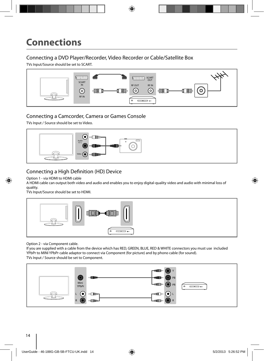### Connecting a DVD Player/Recorder, Video Recorder or Cable/Satellite Box

TVs Input/Source should be set to SCART.



### Connecting a Camcorder, Camera or Games Console

TVs Input / Source should be set to Video.



### Connecting a High Definition (HD) Device

Option 1 - via HDMI to HDMI cable

A HDMI cable can output both video and audio and enables you to enjoy digital-quality video and audio with minimal loss of quality.

TVs Input/Source should be set to HDMI.



Option 2 - via Component cable.

If you are supplied with a cable from the device which has RED, GREEN, BLUE, RED & WHITE connectors you must use included YPbPr to MINI YPbPr cable adaptor to connect via Component (for picture) and by phono cable (for sound). TVs Input / Source should be set to Component.

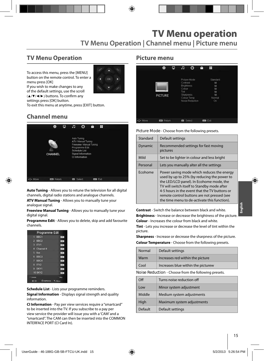### **TV Menu Operation**

To access this menu, press the [MENU] button on the remote control. To enter a menu press [OK]



If you wish to make changes to any of the default settings, use the scroll (▲/▼/◀/▶) buttons. To confirm any

settings press [OK] button.

To exit this menu at anytime, press [EXIT] button.

### **Channel menu**



**Auto Tuning** - Allows you to retune the television for all digital channels, digital radio stations and analogue channels.

**ATV Manual Tuning** - Allows you to manually tune your analogue signal.

**Freeview Manual Tuning** - Allows you to manually tune your digital signal.

**Programme Edit** - Allows you to delete, skip and add favourite channels.

| Programme Edit        |            |
|-----------------------|------------|
| BBC1<br>п             | $-404$     |
| BBC2<br>٣Ŕ            | $184 -$    |
| <b>ITV1</b><br>ı,     | <b>TWE</b> |
| <b>Channel 4</b><br>л | <b>STV</b> |
| five<br>я             | 184        |
| 6 BBC3                | 100        |
| 7 BBC4                | $-014$     |
| B ITV2                | cere.      |
| $9$ SKY1              | $m$ .      |
| <b>10 SKY2</b>        | 10%        |
| * Details             | Skia       |

**Schedule List** - Lists your programme reminders. **Signal Information** - Displays signal strength and quality information.

**CI Information** - Pay per view services require a "smartcard" to be inserted into the TV. If you subscribe to a pay per view service the provider will issue you with a 'CAM' and a "smartcard". The CAM can then be inserted into the COMMON INTERFACE PORT (CI Card In).

#### **Picture menu**

|          | ٠                | ₽ | л                                                                   | Θ                                              | ê | Ħ                                                      |  |
|----------|------------------|---|---------------------------------------------------------------------|------------------------------------------------|---|--------------------------------------------------------|--|
|          | <b>PICTURE</b>   |   | Contrast<br><b>Brightness</b><br>Colour<br>Tint<br><b>Sharpness</b> | Picture Mode<br>Colour Temp<br>Noise Reduction |   | Standard<br>50<br>50<br>50<br>50<br>50<br>Normal<br>On |  |
| +2+ Move | <b>EE</b> Return |   | (bc)                                                                | Select                                         |   | ton Ext                                                |  |

**Picture Mode** - Choose from the following presets.

| Standard | Default settings                                                                                                                                                                                                                                                                                                                     |
|----------|--------------------------------------------------------------------------------------------------------------------------------------------------------------------------------------------------------------------------------------------------------------------------------------------------------------------------------------|
| Dynamic  | Recommended settings for fast moving<br>pictures                                                                                                                                                                                                                                                                                     |
| Mild     | Set to be lighter in colour and less bright                                                                                                                                                                                                                                                                                          |
| Personal | Lets you manually alter all the settings                                                                                                                                                                                                                                                                                             |
| Ecohome  | Power saving mode which reduces the energy<br>used by up to 25% (by reducing the power to<br>the LED/LCD panel). In Ecohome mode, the<br>TV will switch itself to Standby mode after<br>4-5 hours in the event that the TV buttons or<br>remote control buttons are not pressed (see<br>the time menu to de-activate this function). |

**Contrast** - Switch the balance between black and white. **Brightness** - Increase or decrease the brightness of the picture. **Colour** - Increases the colour from black and white.

**Tint** - Lets you increase or decrease the level of tint within the picture.

**Sharpness** - Increase or decrease the sharpness of the picture.

**Colour Temperature** - Choose from the following presets.

| Normal                                               | Default settings                   |  |
|------------------------------------------------------|------------------------------------|--|
| Warm                                                 | Increases red within the picture   |  |
| Cool                                                 | Increases blue within the picturew |  |
| Noise Reduction - Choose from the following presets. |                                    |  |
|                                                      | Turns poise reduction off          |  |

| $\Omega$ | Turns noise reduction off  |
|----------|----------------------------|
| Low      | Minor system adjustment    |
| Middle   | Medium system adjustments  |
| High     | Maximum system adjustments |
| Default  | Default settings           |

**English**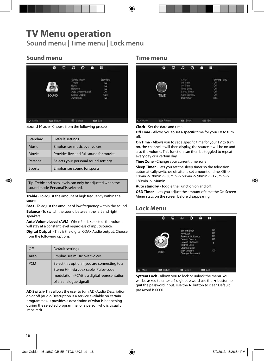# **TV Menu operation**

**Sound menu | Time menu | Lock menu**

### **Sound menu**

|         | 餋                 | ₽ | F                                              | $\circ$                                           | A | Ŧ                                              |  |
|---------|-------------------|---|------------------------------------------------|---------------------------------------------------|---|------------------------------------------------|--|
|         | SOUND             |   | Treble.<br><b>Bass</b><br>Balance<br>AD Switch | Sound Mode<br>Auto Volume Level<br>Digital Output |   | Standard<br>50<br>50<br>50<br>On<br>Auto<br>50 |  |
| C+ Move | <b>ESS</b> Return |   | 0 <sub>z</sub>                                 | Select                                            |   | m Ext                                          |  |

**Sound Mode** - Choose from the following presets:

| Standard      | Default settings                        |
|---------------|-----------------------------------------|
| <b>Music</b>  | Emphasises music over voices            |
| Movie         | Provides live and full sound for movies |
| Personal      | Selects your personal sound settings    |
| <b>Sports</b> | Emphasises sound for sports             |

Tip: Treble and bass levels can only be adjusted when the sound mode 'Personal' is selected.

**Treble** - To adjust the amount of high frequency within the sound.

**Bass** - To adjust the amount of low frequency within the sound. **Balance** - To switch the sound between the left and right speakers.

**Auto Volume Level (AVL)** - When 'on' is selected, the volume will stay at a constant level regardless of input/source.

**Digital Output** - This is the digital COAX Audio output. Choose from the following options:

| Ωff        | Default settings                                                                                                                                                   |
|------------|--------------------------------------------------------------------------------------------------------------------------------------------------------------------|
| Auto       | Emphasises music over voices                                                                                                                                       |
| <b>PCM</b> | Select this option if you are connecting to a<br>Stereo Hi-fi via coax cable (Pulse-code<br>modulation (PCM) is a digital representation<br>of an analogue signal) |

**AD Switch**- This allows the user to turn AD (Audio Description) on or off (Audio Description is a service available on certain programmes. It provides a description of what is happening during the selected programme for a person who is visually impaired)

#### **Time menu**

|          | 烧                | φ | Æ                                                      | ⊙                           | ê | H                                       |              |  |
|----------|------------------|---|--------------------------------------------------------|-----------------------------|---|-----------------------------------------|--------------|--|
|          | TIME             |   | Clock<br>Off Time<br>On Time<br>Time Zone<br>OSD Timer | Sleep Timer<br>Auto Standby |   | Off<br>Off<br>Off<br>Off<br>Off<br>30 s | 04/Aug 10:00 |  |
| +1+ Move | <b>Em</b> Return |   | <b>Ed</b> Select                                       |                             |   | <b>Do</b> Exit                          |              |  |

**Clock** - Set the date and time.

**Off Time** - Allows you to set a specific time for your TV to turn off .

**On Time** - Allows you to set a specific time for your TV to turn on, the channel it will then display, the source it will be on and also the volume. This function can then be toggled to repeat every day or a certain day.

**Time Zone** - Change your current time zone

**Sleep Timer** - Lets you set the sleep timer so the television automatically switches off after a set amount of time. Off -> 10min -> 20min -> 30min -> 60min -> 90min -> 120min -> 180min -> 240min.

Auto standby - Toggle the Function on and off.

**OSD Timer** - Lets you adjust the amount of time the On Screen Menu stays on the screen before disappearing

### **Lock Menu**



**System Lock** - Allows you to lock or unlock the menu. You will be asked to enter a 4 digit password use the **◄** button to quit the password input. Use the **►** button to clear. Default password is 0000.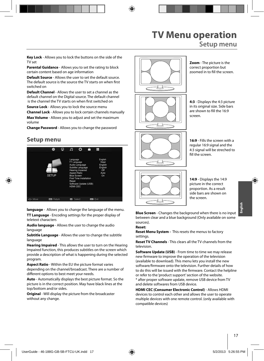### **TV Menu operation Setup menu**

**Key Lock** - Allows you to lock the buttons on the side of the TV set

**Parental Guidance** - Allows you to set the rating to block certain content based on age information

**Default Source** - Allows the user to set the default source. The default source is the source the TV starts on when first switched on

**Default Channel** - Allows the user to set a channel as the default channel on the Digital source. The default channel is the channel the TV starts on when first switched on

**Source Lock** - Allows you to lock the source menu

**Channel Lock** - Allows you to lock certain channels manually **Max Volume** - Allows you to adjust and set the maximum volume

**Change Password** - Allows you to change the password

#### **Setup menu**



**language** - Allows you to change the language of the menu.

**TT Language** - Encoding settings for the proper display of teletext characters

**Audio language** - Allows the user to change the audio language

**Subtitle Language** - Allows the user to change the subtitle language

**Hearing Impaired** - This allows the user to turn on the Hearing Impaired function, this produces subtitles on the screen which provide a description of what is happening during the selected program.

**Aspect Ratio** - Within the EU the picture format varies depending on the channel/broadcast. There are a number of different options to best meet your needs.

**Auto** - Automatically displays the best picture format. So the picture is in the correct position. May have black lines at the top/bottom and/or sides.

**Original** - Will display the picture from the broadcaster without any change.



**Zoom** - The picture is the correct proportion but zoomed in to fill the screen.

**4:3** - Displays the 4:3 picture in its original size. Side bars are shown to fill the 16:9 screen.

**16:9** - Fills the screen with a regular 16:9 signal and the 4:3 signal will be streched to fill the screen.



**14:9** - Displays the 14:9 picture in the correct proportion. As a result side bars are shown on the screen.

**Blue Screen** - Changes the background when there is no input between clear and a blue background (Only available on some sources).

#### **Reset:**

**Reset Menu System -** This resets the menus to factory settings.

**Reset TV Channels** - This clears all the TV channels from the television.

**Software Update (USB)** - From time to time we may release new firmware to improve the operation of the television (available to download). This menu lets you install the new software/firmware onto the television. Further details of how to do this will be issued with the firmware. Contact the helpline or refer to the 'product support' section of the website. \* after proper software update, remove USB device from TV and delete softwares from USB device.

**HDMI CEC (Consumer Electronic Control)** - Allows HDMI devices to control each other and allows the user to operate multiple devices with one remote control. (only available with compatible devices)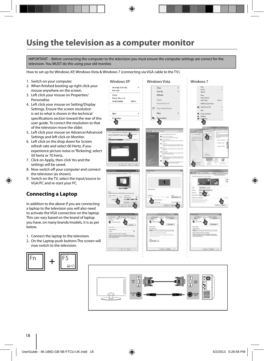### **Using the television as a computer monitor**

IMPORTANT – Before connecting the computer to the television you must ensure the computer settings are correct for the television. You MUST do this using your old monitor.

How to set up for Windows XP, Windows Vista & Windows 7 (connecting via VGA cable to the TV).

- 1. Switch on your computer.
- 2. When finished booting up right click your mouse anywhere on the screen.
- 3. Left click your mouse on Properties/ Personalise.
- 4. Left click your mouse on Setting/Display Settings. Ensure the screen resolution is set to what is shown in the technical specifications section toward the rear of this user guide. To correct the resolution to that of the television move the slider.
- 5. Left click your mouse on Advance/Advanced Settings and left click on Monitor.
- 6. Left click on the drop down for Screen refresh rate and select 60 Hertz, if you experience picture noise or 'flickering', select 50 hertz or 70 hertz.
- 7. Click on Apply, then click Yes and the settings will be saved.
- 8. Now switch off your computer and connect the television (as shown).
- 9. Switch on the TV, select the input/source to VGA/PC and re-start your PC.

#### **Connecting a Laptop**

In addition to the above if you are connecting a laptop to the television you will also need to activate the VGA connection on the laptop. This can vary based on the brand of laptop you have, on many brands/models, it is as per below.

- 1. Connect the laptop to the television.
- 2. On the Laptop push buttons The screen will now switch to the television.



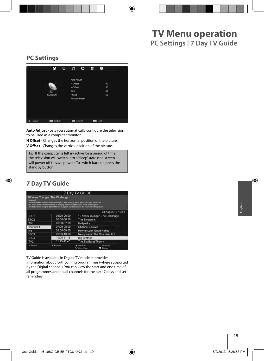### **PC Settings**



Auto Adjust - Lets you automatically configure the television to be used as a computer monitor.

**H Offset** - Changes the horizontal position of the picture. **V Off set** - Changes the vertical position of the picture.

Tip: If the computer is left in-active for a period of time, the television will switch into a 'sleep' state (the screen  $\vert$  will power off to save power). To switch back on press the **Postandby button. Position Resetting back to the original settings** 

### **7 Day TV Guide**

|                  |                                                                                                                                                                                                                                                                                                                         | 7 Day TV GUIDE                  |                                 |
|------------------|-------------------------------------------------------------------------------------------------------------------------------------------------------------------------------------------------------------------------------------------------------------------------------------------------------------------------|---------------------------------|---------------------------------|
| Season 2         | 10 Years Younger: The Challenge<br>Support worker Janice Cassidy's lifestyle of long working hours and a penchant for tanning<br>has taken its toll, while the stress of bringing up two daughters and heavy smoking has<br>affected interior designer Shere Morady. Surgeon Jan Stanek and the team set out to provide |                                 |                                 |
|                  |                                                                                                                                                                                                                                                                                                                         |                                 | 04 Aug 2010 10:42               |
| BBC <sub>1</sub> | 05:00-06:00                                                                                                                                                                                                                                                                                                             |                                 | 10 Years Younger: The Challenge |
| BBC <sub>2</sub> | 06:00-06:30                                                                                                                                                                                                                                                                                                             | The Simpsons                    |                                 |
| ITV1             | 06:30-07:00                                                                                                                                                                                                                                                                                                             | Hollyoaks                       |                                 |
| Channel 4        | 07:00-08:00                                                                                                                                                                                                                                                                                                             | Channel 4 News                  |                                 |
| five             | 08:00-09:00                                                                                                                                                                                                                                                                                                             | How to Look Good Naked          |                                 |
| BBC <sub>3</sub> | 09:00-10:00                                                                                                                                                                                                                                                                                                             |                                 | Newlyweds: The One Year Itch    |
| BBC4             | 10:00-11:15                                                                                                                                                                                                                                                                                                             | <b>Big Brother</b>              |                                 |
| ITV2             | 11:15-11:45                                                                                                                                                                                                                                                                                                             | The Big Bang Theory             |                                 |
| * Record         | * Remind                                                                                                                                                                                                                                                                                                                | Prev.Day<br><b>C. Maye View</b> | Next Day<br><b>O</b> Display    |

TV Guide is available in Digital TV mode. It provides

information about forthcoming programmes (where supported by the Digital channel). You can view the start and end time of all programmes and on all channels for the next 7 days and set reminders.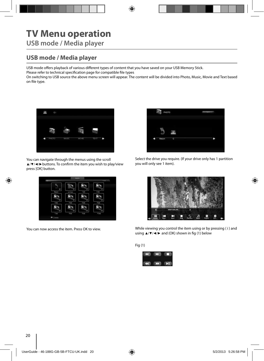# **TV Menu operation**

**USB mode / Media player**

### **USB mode / Media player**

USB mode offers playback of various different types of content that you have saved on your USB Memory Stick.

Please refer to technical specification page for compatible file types

On switching to USB source the above menu screen will appear. The content will be divided into Photo, Music, Movie and Text based on file type.



You can navigate through the menus using the scroll ▲/▼/◀/► buttons. To confirm the item you wish to play/view press [OK] button.



You can now access the item. Press OK to view.



Select the drive you require. (If your drive only has 1 partition you will only see 1 item).



While viewing you control the item using or by pressing ( i ) and using  $\triangle$ /▼/◄/► and (OK) shown in fig (1) below

Fig (1)

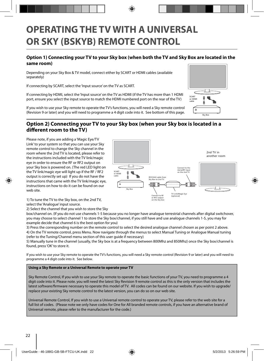# **OPERATING THE TV WITH A UNIVERSAL OR SKY (BSKYB) REMOTE CONTROL**

#### **Option 1) Connecting your TV to your Sky box (when both the TV and Sky Box are located in the same room)**

Depending on your Sky Box & TV model, connect either by SCART or HDMI cables (available separately)

If connecting by SCART, select the 'Input source' on the TV as SCART.

If connecting by HDMI, select the 'Input source' on the TV as HDMI (if the TV has more than 1 HDMI port, ensure you select the input source to match the HDMI numbered port on the rear of the TV)

If you wish to use your Sky remote to operate the TV's functions, you will need a Sky remote control (Revision 9 or later) and you will need to programme a 4 digit code into it. See bottom of this page.

# Sky Box SCART or HDMI cable

#### **Option 2) Connecting your TV to your Sky box (when your Sky box is located in a diff erent room to the TV)**

Please note, if you are adding a 'Magic Eye/TV Link' to your system so that you can use your Sky remote control to change the Sky channel in the room where the 2nd TV is located, please refer to the instructions included with the TV link/magic eye in order to ensure the RF or RF2 output on your Sky box is powered on. (The red LED light on the TV link/magic eye will light up if the RF / RF2 output is correctly set up) If you do not have the instructions that came with the TV link/magic eye, instructions on how to do it can be found on our web site.



1) To tune the TV to the Sky box, on the 2nd TV, select the 'Analogue' input source.

2) Select the channel that you wish to store the Sky

box/channel on. (If you do not use channels 1-5 because you no longer have analogue terrestrial channels after digital switchover, you may choose to select channel 1 to store the Sky box/channel, if you still have and use analogue channels 1-5, you may for example decide that channel 6 is the best option for you)

3) Press the corresponding number on the remote control to select the desired analogue channel chosen as per point 2 above. 4) On the TV remote control, press Menu. Now navigate through the menus to select Manual Tuning or Analogue Manual tuning (refer to the Tuning/Channel menu section of this user guide if necessary)

5) Manually tune in the channel (usually, the Sky box is at a frequency between 800Mhz and 850Mhz) once the Sky box/channel is found, press 'OK' to store it.

If you wish to use your Sky remote to operate the TV's functions, you will need a Sky remote control (Revision 9 or later) and you will need to programme a 4 digit code into it. See below.

#### **Using a Sky Remote or a Universal Remote to operate your TV**

Sky Remote Control, If you wish to use your Sky remote to operate the basic functions of your TV, you need to programme a 4 digit code into it. Please note. you will need the latest Sky Revision 9 remote control as this is the only version that includes the latest software/firmware necessary to operate this model of TV. All codes can be found on our website. If you wish to upgrade/ replace your existing Sky remote control to the latest version, you can do so on our web site.

Universal Remote Control, If you wish to use a Universal remote control to operate your TV, please refer to the web site for a full list of codes. (Please note we only have codes for One for All branded remote controls, if you have an alternative brand of Universal remote, please refer to the manufacturer for the code.)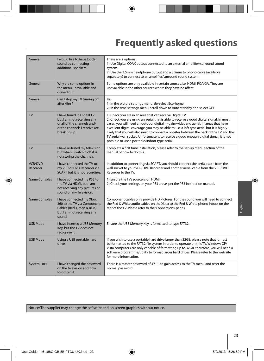# **Frequently asked questions**

| General                    | I would like to have louder<br>sound by connecting<br>additional speakers.                                                               | There are 2 options:<br>1) Use Digital COAX output connected to an external amplifier/surround sound<br>system.<br>2) Use the 3.5mm headphone output and a 3.5mm to phono cable (available<br>separately) to connect to an amplifier/surround sound system.                                                                                                                                                                                                                                                                                                                  |
|----------------------------|------------------------------------------------------------------------------------------------------------------------------------------|------------------------------------------------------------------------------------------------------------------------------------------------------------------------------------------------------------------------------------------------------------------------------------------------------------------------------------------------------------------------------------------------------------------------------------------------------------------------------------------------------------------------------------------------------------------------------|
| General                    | Why are some options in<br>the menu unavailable and<br>greyed out.                                                                       | Some options are only available in certain sources, i.e. HDMI, PC/VGA. They are<br>unavailable in the other sources where they have no affect.                                                                                                                                                                                                                                                                                                                                                                                                                               |
| General                    | Can I stop my TV turning off<br>after 4hrs?                                                                                              | Yes<br>1) In the picture settings menu, de-select Eco-home<br>2) In the time settings menu, scroll down to Auto standby and select OFF                                                                                                                                                                                                                                                                                                                                                                                                                                       |
| <b>TV</b>                  | I have tuned in Digital TV<br>but I am not receiving any<br>or all of the channels and/<br>or the channels I receive are<br>breaking up. | 1) Check you are in an area that can receive Digital TV.<br>2) Check you are using an aerial that is able to receive a good digital signal. In most<br>cases, you will need an outdoor digital hi-gain/wideband aerial. In areas that have<br>excellent digital coverage, you may be able to use a loft type aerial but it is highly<br>likely that you will also need to connect a booster between the back of the TV and the<br>TV aerial wall socket. Unfortunately, to receive a good enough digital signal, it is not<br>possible to use a portable/indoor type aerial. |
| <b>TV</b>                  | I have re-tuned my television<br>but when I switch it off it is<br>not storing the channels.                                             | Complete a first time installation, please refer to the set-up menu section of the<br>manual of how to do this.                                                                                                                                                                                                                                                                                                                                                                                                                                                              |
| <b>VCR/DVD</b><br>Recorder | I have connected the TV to<br>my VCR or DVD Recorder via<br>SCART but it is not recording.                                               | In addition to connecting via SCART, you should connect the aerial cable from the<br>wall socket to your VCR/DVD Recorder and another aerial cable from the VCR/DVD<br>Recorder to the TV.                                                                                                                                                                                                                                                                                                                                                                                   |
| <b>Game Consoles</b>       | I have connected my PS3 to<br>the TV via HDMI, but I am<br>not receiving any pictures or<br>sound on my Television.                      | 1) Ensure the TVs source is on HDMI.<br>2) Check your settings on your PS3 are as per the PS3 instruction manual.                                                                                                                                                                                                                                                                                                                                                                                                                                                            |
| <b>Game Consoles</b>       | I have connected my Xbox<br>360 to the TV via Component<br>Cables (Red, Green & Blue)<br>but I am not receiving any<br>sound.            | Component cables only provide HD Pictures. For the sound you will need to connect<br>the Red & White audio cables on the Xbox to the Red & White phono inputs on the<br>rear of the TV. Please refer to the 'Connections' pages.                                                                                                                                                                                                                                                                                                                                             |
| <b>USB Mode</b>            | I have inserted a USB Memory<br>Key, but the TV does not<br>recognise it.                                                                | Ensure the USB Memory Key is formatted to type FAT32.                                                                                                                                                                                                                                                                                                                                                                                                                                                                                                                        |
| <b>USB Mode</b>            | Using a USB portable hard<br>drive.                                                                                                      | If you wish to use a portable hard drive larger than 32GB, please note that it must<br>be formatted to the FAT32 file system in order to operate on this TV. Windows XP/<br>Vista computers are only capable of formatting up to 32GB, therefore, you will need a<br>software programme/utility to format larger hard drives. Please refer to the web site<br>for more information.                                                                                                                                                                                          |
| <b>System Lock</b>         | I have changed the password<br>on the television and now<br>forgotten it.                                                                | There is a master password of 4711, to gain access to the TV menu and reset the<br>normal password.                                                                                                                                                                                                                                                                                                                                                                                                                                                                          |

Notice: The supplier may change the software and on screen graphics without notice.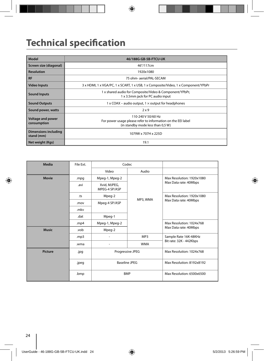# **Technical specification**

| Model                                   | 46/188G-GB-5B-FTCU-UK                                                                                                   |  |  |  |  |
|-----------------------------------------|-------------------------------------------------------------------------------------------------------------------------|--|--|--|--|
| Screen size (diagonal)                  | 46"/117cm                                                                                                               |  |  |  |  |
| <b>Resolution</b>                       | 1920x1080                                                                                                               |  |  |  |  |
| <b>RF</b>                               | 75 ohm- aerial/PAL-SECAM                                                                                                |  |  |  |  |
| <b>Video Inputs</b>                     | 3 x HDMI, 1 x VGA/PC, 1 x SCART, 1 x USB, 1 x Composite/Video, 1 x Component/YPbPr                                      |  |  |  |  |
| <b>Sound Inputs</b>                     | 1 x shared audio for Composite/Video & Component/YPbPr,<br>1 x 3.5mm jack for PC audio input                            |  |  |  |  |
| <b>Sound Outputs</b>                    | $1 \times$ COAX – audio output, $1 \times$ output for headphones                                                        |  |  |  |  |
| Sound power, watts                      | $2 \times 9$                                                                                                            |  |  |  |  |
| <b>Voltage and power</b><br>consumption | 110-240 V 50/60 Hz<br>For power usage please refer to information on the EEI label<br>(in standby mode less than 0,5 W) |  |  |  |  |
| Dimensions including<br>stand (mm)      | 1079W x 707H x 225D                                                                                                     |  |  |  |  |
| Net weight (Kgs)                        | 19.1                                                                                                                    |  |  |  |  |

| Media          | File Ext. | Codec                                                  |            |                           |
|----------------|-----------|--------------------------------------------------------|------------|---------------------------|
|                |           | Video                                                  | Audio      |                           |
| <b>Movie</b>   | .mpg      | Mpeg-1, Mpeg-2                                         |            | Max Resolution: 1920x1080 |
|                | .avi      | Xvid, MJPEG,<br>MPEG-4 SP/ASP                          |            | Max Data rate: 40Mbps     |
|                | .ts       | Mpeg-2                                                 |            | Max Resolution: 1920x1080 |
|                | .mov      | Mpeg-4 SP/ASP                                          | MP3, WMA   | Max Data rate: 40Mbps     |
|                | .mkv      |                                                        |            |                           |
|                | .dat      | Mpeg-1                                                 |            |                           |
|                | .mp4      | Mpeg-1, Mpeg-2                                         |            | Max Resolution: 1024x768  |
| <b>Music</b>   | .vob      | Mpeg-2                                                 |            | Max Data rate: 40Mbps     |
|                | mp3       |                                                        | MP3        | Sample Rate 16K-48KHz     |
|                | .wma      | $\overline{\phantom{0}}$                               | <b>WMA</b> | Bit rate: 32K - 442Kbps   |
| <b>Picture</b> | .jpg      | Progressive JPEG<br><b>Baseline JPEG</b><br><b>BMP</b> |            | Max Resolution: 1024x768  |
|                | .jpeg     |                                                        |            | Max Resolution: 8192x8192 |
|                | .bmp      |                                                        |            | Max Resolution: 6500x6500 |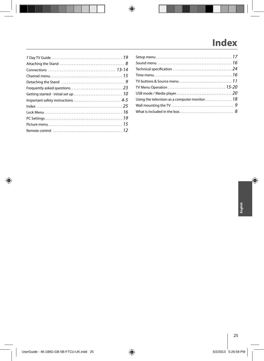# **Index**

| TV buttons & Source menu $\ldots \ldots \ldots \ldots \ldots \ldots \ldots \ldots \ldots 11$ |  |
|----------------------------------------------------------------------------------------------|--|
|                                                                                              |  |
|                                                                                              |  |
|                                                                                              |  |
|                                                                                              |  |
|                                                                                              |  |
|                                                                                              |  |